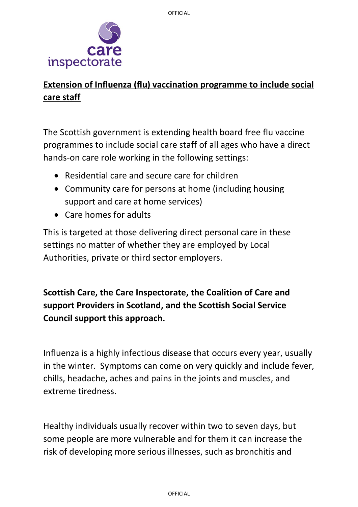

## **Extension of Influenza (flu) vaccination programme to include social care staff**

The Scottish government is extending health board free flu vaccine programmes to include social care staff of all ages who have a direct hands-on care role working in the following settings:

- Residential care and secure care for children
- Community care for persons at home (including housing support and care at home services)
- Care homes for adults

This is targeted at those delivering direct personal care in these settings no matter of whether they are employed by Local Authorities, private or third sector employers.

**Scottish Care, the Care Inspectorate, the Coalition of Care and support Providers in Scotland, and the Scottish Social Service Council support this approach.** 

Influenza is a highly infectious disease that occurs every year, usually in the winter. Symptoms can come on very quickly and include fever, chills, headache, aches and pains in the joints and muscles, and extreme tiredness.

Healthy individuals usually recover within two to seven days, but some people are more vulnerable and for them it can increase the risk of developing more serious illnesses, such as bronchitis and